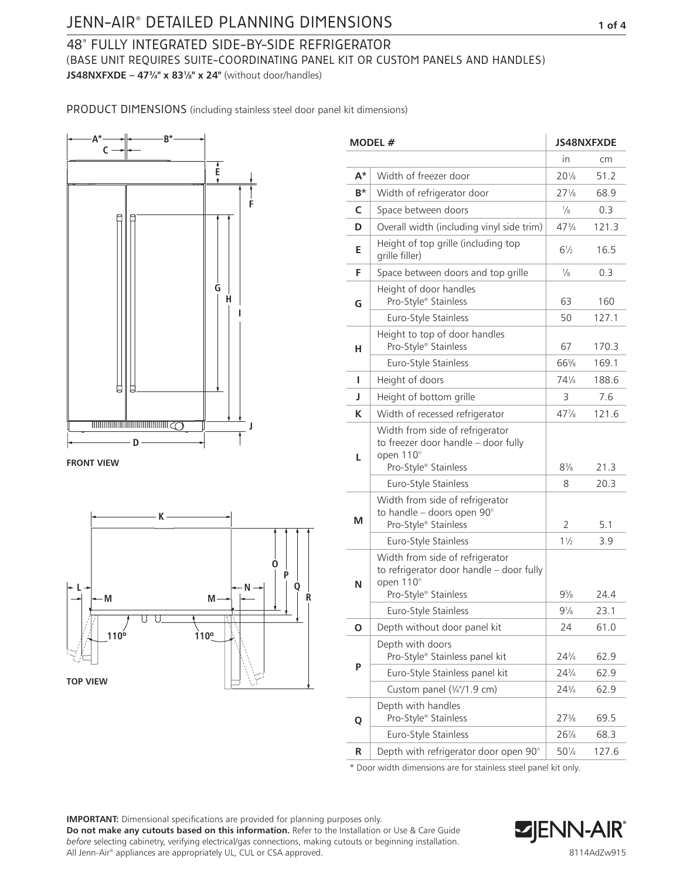# JENN-AIR® DETAILED PLANNING DIMENSIONS **1 of 4 C**

#### 48" FULLY INTEGRATED SIDE-BY-SIDE REFRIGERATOR **E** (BASE UNIT REQUIRES SUITE-COORDINATING PANEL KIT OR CUSTOM PANELS AND HANDLES) **F JS48NXFXDE – 473⁄4" x 831⁄8" x 24"** (without door/handles) **G D**

PRODUCT DIMENSIONS (including stainless steel door panel kit dimensions)



**FRONT VIEW**



| MODEL # |                                                                                                             | <b>JS48NXFXDE</b> |       |
|---------|-------------------------------------------------------------------------------------------------------------|-------------------|-------|
|         |                                                                                                             | in                | cm    |
| A*      | Width of freezer door                                                                                       | $20\%$            | 51.2  |
| B*      | Width of refrigerator door                                                                                  | $27\frac{1}{8}$   | 68.9  |
| c       | Space between doors                                                                                         | $\frac{1}{8}$     | 0.3   |
| D       | Overall width (including vinyl side trim)                                                                   | $47\frac{3}{4}$   | 121.3 |
| Е       | Height of top grille (including top<br>grille filler)                                                       | $6\frac{1}{2}$    | 16.5  |
| F       | Space between doors and top grille                                                                          | $\frac{1}{8}$     | 0.3   |
| G       | Height of door handles<br>Pro-Style® Stainless                                                              | 63                | 160   |
|         | Euro-Style Stainless                                                                                        | 50                | 127.1 |
| н       | Height to top of door handles<br>Pro-Style® Stainless                                                       | 67                | 170.3 |
|         | Euro-Style Stainless                                                                                        | 66%               | 169.1 |
| ı       | Height of doors                                                                                             | 74¼               | 188.6 |
| J       | Height of bottom grille                                                                                     | 3                 | 7.6   |
| К       | Width of recessed refrigerator                                                                              | 47%               | 121.6 |
| L       | Width from side of refrigerator<br>to freezer door handle - door fully<br>open 110°<br>Pro-Style® Stainless | $8\frac{3}{8}$    | 21.3  |
|         | Euro-Style Stainless                                                                                        | 8                 | 20.3  |
| м       | Width from side of refrigerator<br>to handle - doors open $90^\circ$<br>Pro-Style® Stainless                | $\overline{2}$    | 5.1   |
|         | Euro-Style Stainless                                                                                        | $1\frac{1}{2}$    | 3.9   |
| N       | Width from side of refrigerator<br>to refrigerator door handle - door fully<br>open 110°                    |                   |       |
|         | Pro-Style® Stainless                                                                                        | $9\frac{5}{8}$    | 24.4  |
|         | Euro-Style Stainless                                                                                        | $9\frac{1}{8}$    | 23.1  |
| O       | Depth without door panel kit                                                                                | 24                | 61.0  |
| P       | Depth with doors<br>Pro-Style <sup>®</sup> Stainless panel kit                                              | $24\frac{3}{4}$   | 62.9  |
|         | Euro-Style Stainless panel kit                                                                              | $24\frac{3}{4}$   | 62.9  |
|         | Custom panel (3/4"/1.9 cm)                                                                                  | $24\frac{3}{4}$   | 62.9  |
| Q       | Depth with handles<br>Pro-Style® Stainless                                                                  | $27\frac{3}{8}$   | 69.5  |
|         | Euro-Style Stainless                                                                                        | $26\%$            | 68.3  |
| R       | Depth with refrigerator door open 90°                                                                       | $50\frac{1}{4}$   | 127.6 |

\* Door width dimensions are for stainless steel panel kit only.

**IMPORTANT:** Dimensional specifications are provided for planning purposes only.

**Do not make any cutouts based on this information.** Refer to the Installation or Use & Care Guide *before* selecting cabinetry, verifying electrical/gas connections, making cutouts or beginning installation. All Jenn-Air® appliances are appropriately UL, CUL or CSA approved.

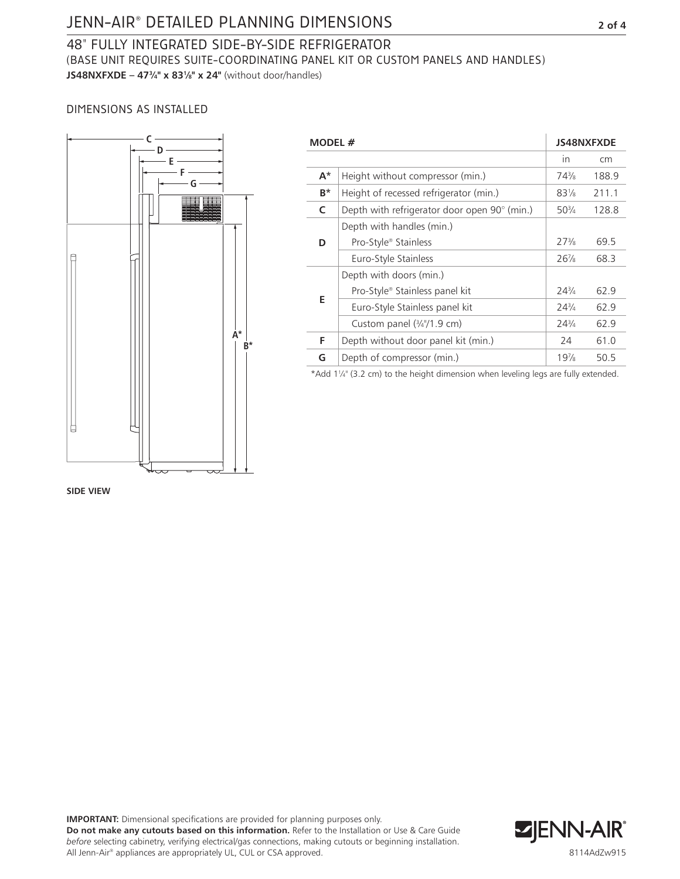# JENN-AIR® DETAILED PLANNING DIMENSIONS **2 of 4**

## 48" FULLY INTEGRATED SIDE-BY-SIDE REFRIGERATOR (BASE UNIT REQUIRES SUITE-COORDINATING PANEL KIT OR CUSTOM PANELS AND HANDLES) **JS48NXFXDE – 473/4" x 831/8" x 24"** (without door/handles)

## DIMENSIONS AS INSTALLED



| MODEL # |                                              | JS48NXFXDE      |       |
|---------|----------------------------------------------|-----------------|-------|
|         |                                              | in              | cm    |
| $A^*$   | Height without compressor (min.)             | $74\frac{3}{8}$ | 188.9 |
| $B^*$   | Height of recessed refrigerator (min.)       | $83\frac{1}{8}$ | 211.1 |
| C       | Depth with refrigerator door open 90° (min.) | $50\frac{3}{4}$ | 128.8 |
| D       | Depth with handles (min.)                    |                 |       |
|         | Pro-Style® Stainless                         | $27\frac{3}{8}$ | 69.5  |
|         | Euro-Style Stainless                         | $26\frac{7}{8}$ | 68.3  |
| E       | Depth with doors (min.)                      |                 |       |
|         | Pro-Style <sup>®</sup> Stainless panel kit   | $24\frac{3}{4}$ | 62.9  |
|         | Euro-Style Stainless panel kit               | $24\frac{3}{4}$ | 62.9  |
|         | Custom panel (3/4"/1.9 cm)                   | $24\frac{3}{4}$ | 62.9  |
| F.      | Depth without door panel kit (min.)          | 24              | 61.0  |
| G       | Depth of compressor (min.)                   | 19%             | 50.5  |
|         |                                              |                 |       |

\*Add 11 ⁄4" (3.2 cm) to the height dimension when leveling legs are fully extended.

#### **SIDE VIEW**

**IMPORTANT:** Dimensional specifications are provided for planning purposes only. **Do not make any cutouts based on this information.** Refer to the Installation or Use & Care Guide *before* selecting cabinetry, verifying electrical/gas connections, making cutouts or beginning installation. All Jenn-Air® appliances are appropriately UL, CUL or CSA approved.

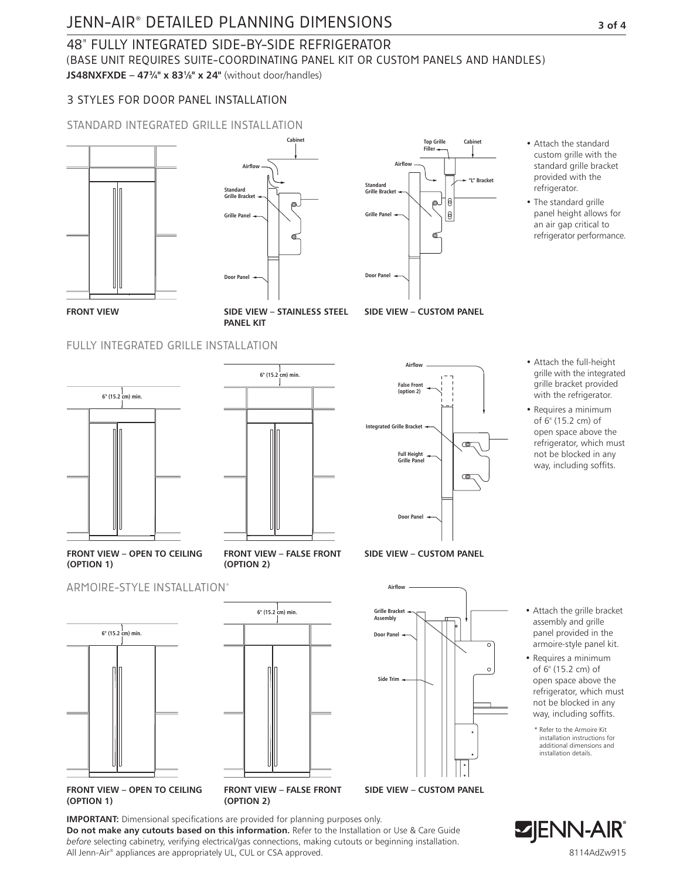# JENN-AIR<sup>®</sup> DETAILED PLANNING DIMENSIONS **3** of 4

# 48" FULLY INTEGRATED SIDE-BY-SIDE REFRIGERATOR

(BASE UNIT REQUIRES SUITE-COORDINATING PANEL KIT OR CUSTOM PANELS AND HANDLES) **Door Panel Soffit 6" (15.2 cm) min.**

**Door Panel**

**JS48NXFXDE – 47<sup>3</sup>/4" x 83<sup>1</sup>/<sub>8</sub>" x 24"** (without door/handles)

### 3 STYLES FOR DOOR PANEL INSTALLATION

#### STANDARD INTEGRATED GRILLE INSTALLATION **6" (15.2 cm) min.**





**SIDE VIEW – STAINLESS STEEL PANEL KIT**

### FULLY INTEGRATED GRILLE INSTALLATION





**FRONT VIEW – FALSE FRONT (OPTION 2)**



**Grille Panel**

**Door Panel**

**Standard Grille Bracke** 

**Airflow**

**SIDE VIEW – CUSTOM PANEL**



**Cabinet**

"L" Bracke

**Top Grille Filler**

> β O. |0

• Attach the standard custom grille with the

- Attach the full-height grille with the integrated grille bracket provided with the refrigerator.
- Requires a minimum of 6" (15.2 cm) of open space above the refrigerator, which must not be blocked in any way, including soffits.
- 



- Requires a minimum of 6" (15.2 cm) of open space above the refrigerator, which must not be blocked in any way, including soffits.
	- \* Refer to the Armoire Kit installation instructions for additional dimensions and installation details.





**Airflow Airflow (OPTION 1) FRONT VIEW – OPEN TO CEILING** 











**(OPTION 1) (OPTION 2)**

**IMPORTANT:** Dimensional specifications are provided for planning purposes only. **Do not make any cutouts based on this information.** Refer to the Installation or Use & Care Guide *before* selecting cabinetry, verifying electrical/gas connections, making cutouts or beginning installation. All Jenn-Air® appliances are appropriately UL, CUL or CSA approved.